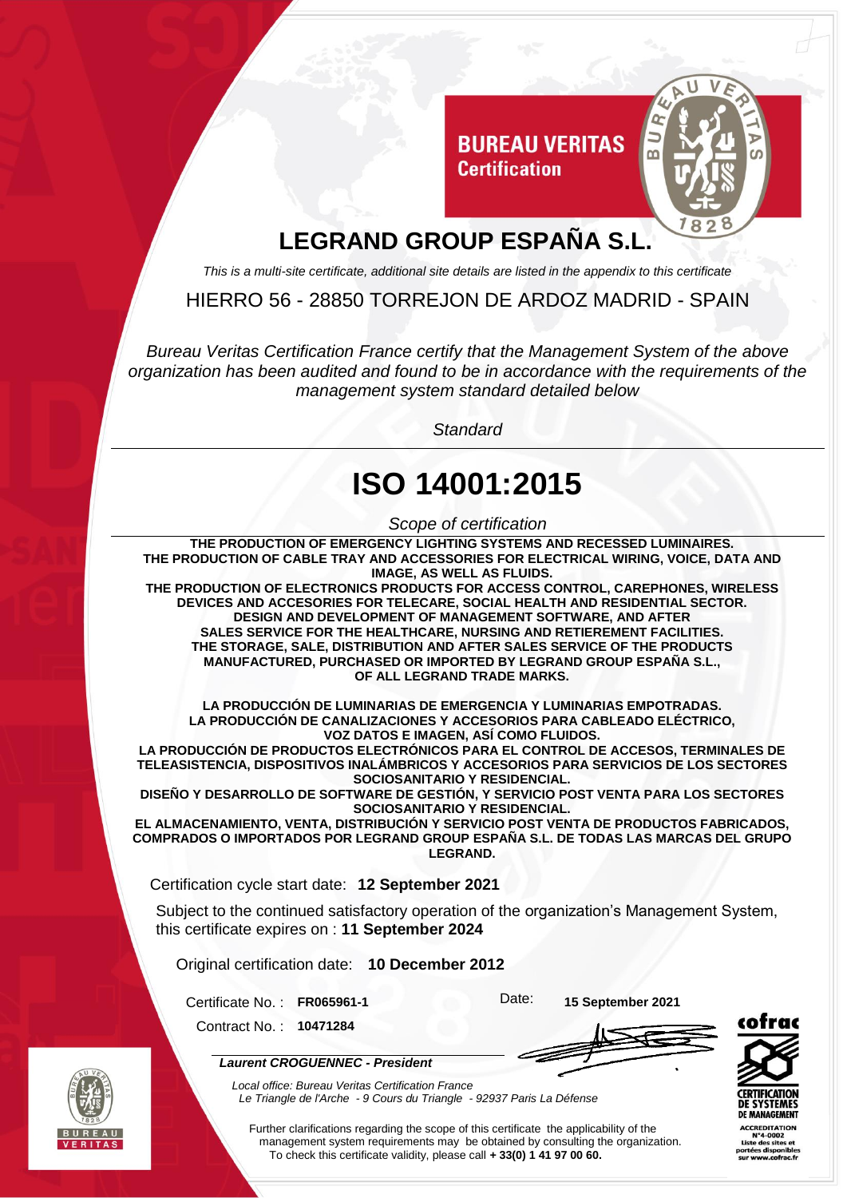

## **LEGRAND GROUP ESPAÑA S.L.**

*This is a multi-site certificate, additional site details are listed in the appendix to this certificate*

HIERRO 56 - 28850 TORREJON DE ARDOZ MADRID - SPAIN

*Bureau Veritas Certification France certify that the Management System of the above organization has been audited and found to be in accordance with the requirements of the management system standard detailed below*

*Standard*

## **ISO 14001:2015**

*Scope of certification*

**THE PRODUCTION OF EMERGENCY LIGHTING SYSTEMS AND RECESSED LUMINAIRES. THE PRODUCTION OF CABLE TRAY AND ACCESSORIES FOR ELECTRICAL WIRING, VOICE, DATA AND IMAGE, AS WELL AS FLUIDS.**

**THE PRODUCTION OF ELECTRONICS PRODUCTS FOR ACCESS CONTROL, CAREPHONES, WIRELESS DEVICES AND ACCESORIES FOR TELECARE, SOCIAL HEALTH AND RESIDENTIAL SECTOR. DESIGN AND DEVELOPMENT OF MANAGEMENT SOFTWARE, AND AFTER SALES SERVICE FOR THE HEALTHCARE, NURSING AND RETIEREMENT FACILITIES. THE STORAGE, SALE, DISTRIBUTION AND AFTER SALES SERVICE OF THE PRODUCTS MANUFACTURED, PURCHASED OR IMPORTED BY LEGRAND GROUP ESPAÑA S.L., OF ALL LEGRAND TRADE MARKS.**

**LA PRODUCCIÓN DE LUMINARIAS DE EMERGENCIA Y LUMINARIAS EMPOTRADAS. LA PRODUCCIÓN DE CANALIZACIONES Y ACCESORIOS PARA CABLEADO ELÉCTRICO, VOZ DATOS E IMAGEN, ASÍ COMO FLUIDOS.**

**LA PRODUCCIÓN DE PRODUCTOS ELECTRÓNICOS PARA EL CONTROL DE ACCESOS, TERMINALES DE TELEASISTENCIA, DISPOSITIVOS INALÁMBRICOS Y ACCESORIOS PARA SERVICIOS DE LOS SECTORES SOCIOSANITARIO Y RESIDENCIAL.**

**DISEÑO Y DESARROLLO DE SOFTWARE DE GESTIÓN, Y SERVICIO POST VENTA PARA LOS SECTORES SOCIOSANITARIO Y RESIDENCIAL.**

**EL ALMACENAMIENTO, VENTA, DISTRIBUCIÓN Y SERVICIO POST VENTA DE PRODUCTOS FABRICADOS, COMPRADOS O IMPORTADOS POR LEGRAND GROUP ESPAÑA S.L. DE TODAS LAS MARCAS DEL GRUPO LEGRAND.**

Certification cycle start date: **12 September 2021**

Subject to the continued satisfactory operation of the organization's Management System, this certificate expires on : **11 September 2024**

Original certification date: **10 December 2012**

Certificate No. : **FR065961-1** Date: **15 September 2021**

Contract No. : **10471284**

*Laurent CROGUENNEC - President*





*Local office: Bureau Veritas Certification France Le Triangle de l'Arche - 9 Cours du Triangle - 92937 Paris La Défense*

Further clarifications regarding the scope of this certificate the applicability of the management system requirements may be obtained by consulting the organization. To check this certificate validity, please call **+ 33(0) 1 41 97 00 60.**

**ACCREDITATION**